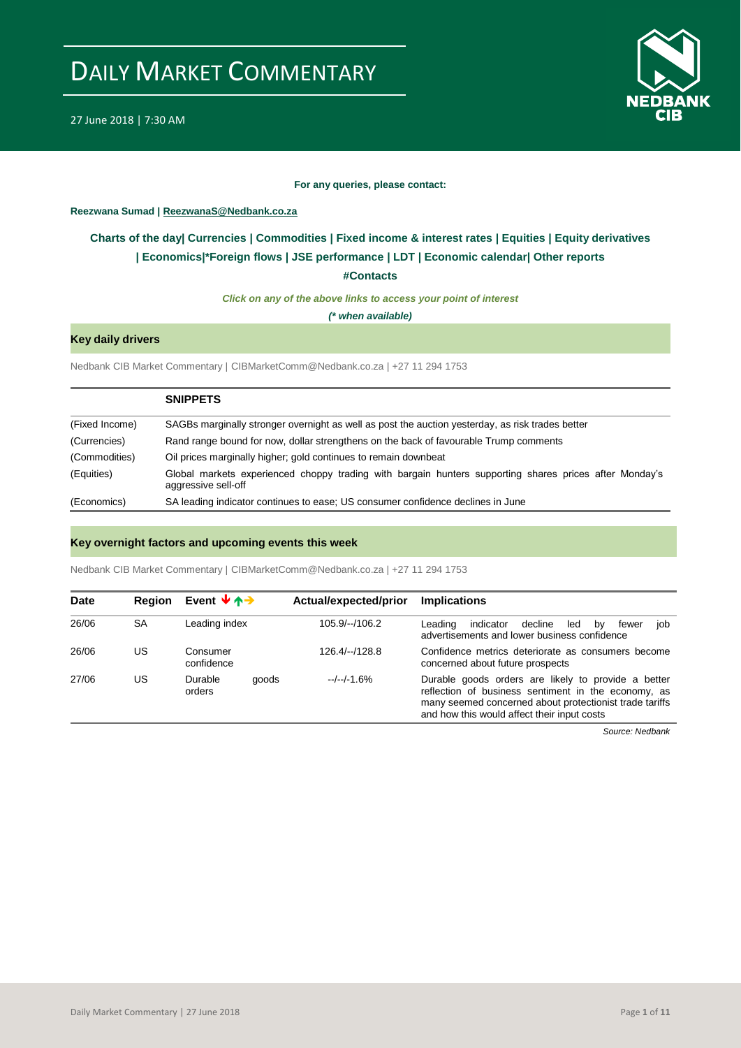

#### **For any queries, please contact:**

### <span id="page-0-0"></span>**Reezwana Sumad | ReezwanaS@Nedbank.co.za**

## **Charts of the day| [Currencies](#page-2-0) [| Commodities](#page-3-0) | [Fixed income & interest rates](#page-1-0) | [Equities](#page-4-0) | Equity derivatives | [Economics|\\*](#page-7-0)Foreign flows [| JSE performance](#page-4-1) | [LDT](#page-5-0) | [Economic calendar|](#page-8-0) Other reports**

**[#Contacts](#page-9-0)**

*Click on any of the above links to access your point of interest*

*(\* when available)*

## **Key daily drivers**

Nedbank CIB Market Commentary | CIBMarketComm@Nedbank.co.za | +27 11 294 1753

|                | <b>SNIPPETS</b>                                                                                                               |
|----------------|-------------------------------------------------------------------------------------------------------------------------------|
| (Fixed Income) | SAGBs marginally stronger overnight as well as post the auction yesterday, as risk trades better                              |
| (Currencies)   | Rand range bound for now, dollar strengthens on the back of favourable Trump comments                                         |
| (Commodities)  | Oil prices marginally higher; gold continues to remain downbeat                                                               |
| (Equities)     | Global markets experienced choppy trading with bargain hunters supporting shares prices after Monday's<br>aggressive sell-off |
| (Economics)    | SA leading indicator continues to ease; US consumer confidence declines in June                                               |

## **Key overnight factors and upcoming events this week**

Nedbank CIB Market Commentary | CIBMarketComm@Nedbank.co.za | +27 11 294 1753

| <b>Date</b> | <b>Region</b> | Event $\forall \uparrow \rightarrow$ | Actual/expected/prior | <b>Implications</b>                                                                                                                                                                                                  |
|-------------|---------------|--------------------------------------|-----------------------|----------------------------------------------------------------------------------------------------------------------------------------------------------------------------------------------------------------------|
| 26/06       | <b>SA</b>     | Leading index                        | $105.9/-/106.2$       | indicator<br>decline<br>Leading<br>led<br>by<br>job<br>fewer<br>advertisements and lower business confidence                                                                                                         |
| 26/06       | US            | Consumer<br>confidence               | 126.4/--/128.8        | Confidence metrics deteriorate as consumers become<br>concerned about future prospects                                                                                                                               |
| 27/06       | บร            | Durable<br>goods<br>orders           | $-/-/-1.6%$           | Durable goods orders are likely to provide a better<br>reflection of business sentiment in the economy, as<br>many seemed concerned about protectionist trade tariffs<br>and how this would affect their input costs |

*Source: Nedbank*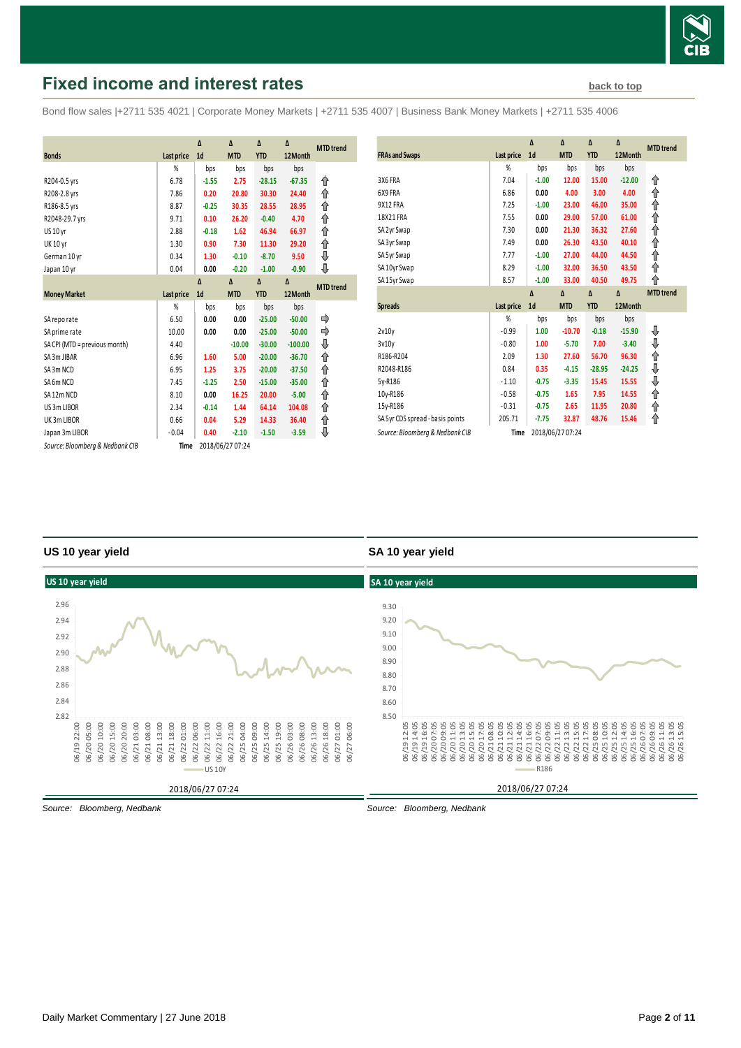

# <span id="page-1-0"></span>**Fixed income and interest rates [back to top](#page-0-0) back to top**

Bond flow sales |+2711 535 4021 | Corporate Money Markets | +2711 535 4007 | Business Bank Money Markets | +2711 535 4006

|                                 |                   | Δ              | Δ                | Δ          | Δ         |                  |
|---------------------------------|-------------------|----------------|------------------|------------|-----------|------------------|
|                                 |                   |                |                  |            |           | <b>MTD</b> trend |
| <b>Bonds</b>                    | Last price        | 1 <sub>d</sub> | <b>MTD</b>       | <b>YTD</b> | 12Month   |                  |
|                                 | %                 | bps            | bps              | bps        | bps       |                  |
| R204-0.5 yrs                    | 6.78              | $-1.55$        | 2.75             | $-28.15$   | $-67.35$  | ⇑                |
| R208-2.8 yrs                    | 7.86              | 0.20           | 20.80            | 30.30      | 24.40     | ↟                |
| R186-8.5 yrs                    | 8.87              | $-0.25$        | 30.35            | 28.55      | 28.95     | ↟                |
| R2048-29.7 yrs                  | 9.71              | 0.10           | 26.20            | $-0.40$    | 4.70      | ↟                |
| US 10 yr                        | 2.88              | $-0.18$        | 1.62             | 46.94      | 66.97     | ↟                |
| <b>UK 10 yr</b>                 | 1.30              | 0.90           | 7.30             | 11.30      | 29.20     | ⇑                |
| German 10 yr                    | 0.34              | 1.30           | $-0.10$          | $-8.70$    | 9.50      | ⇓                |
| Japan 10 yr                     | 0.04              | 0.00           | $-0.20$          | $-1.00$    | $-0.90$   | ⊕                |
|                                 |                   | $\Lambda$      | $\Delta$         | Δ          | Δ         | <b>MTD</b> trend |
| <b>Money Market</b>             | <b>Last price</b> | 1 <sub>d</sub> | <b>MTD</b>       | <b>YTD</b> | 12Month   |                  |
|                                 | %                 | bps            | bps              | bps        | bps       |                  |
| SA reporate                     | 6.50              | 0.00           | 0.00             | $-25.00$   | $-50.00$  | ⇛                |
| SA prime rate                   | 10.00             | 0.00           | 0.00             | $-25.00$   | $-50.00$  | ⇛                |
| SA CPI (MTD = previous month)   | 4.40              |                | $-10.00$         | $-30.00$   | $-100.00$ | ⇓                |
| SA 3m JIBAR                     | 6.96              | 1.60           | 5.00             | $-20.00$   | $-36.70$  | ↟                |
| SA3m NCD                        | 6.95              | 1.25           | 3.75             | $-20.00$   | $-37.50$  | ⇑                |
| SA6m NCD                        | 7.45              | $-1.25$        | 2.50             | $-15.00$   | $-35.00$  | ł                |
| SA12m NCD                       | 8.10              | 0.00           | 16.25            | 20.00      | $-5.00$   | ↑                |
| US 3m LIBOR                     | 2.34              | $-0.14$        | 1.44             | 64.14      | 104.08    | ⇑                |
| UK3m LIBOR                      | 0.66              | 0.04           | 5.29             | 14.33      | 36.40     | ↟                |
| Japan 3m LIBOR                  | $-0.04$           | 0.40           | $-2.10$          | $-1.50$    | $-3.59$   | ⇓                |
| Source: Bloomberg & Nedbank CIB | Time              |                | 2018/06/27 07:24 |            |           |                  |

| <b>FRAs and Swaps</b>            | Last price | Δ<br>1 <sub>d</sub> | Δ<br><b>MTD</b> | Δ<br><b>YTD</b> | Δ<br>12Month | <b>MTD</b> trend |
|----------------------------------|------------|---------------------|-----------------|-----------------|--------------|------------------|
|                                  | %          | bps                 | bps             | bps             | bps          |                  |
| 3X6 FRA                          | 7.04       | $-1.00$             | 12.00           | 15.00           | $-12.00$     | ⇑                |
| 6X9 FRA                          | 6.86       | 0.00                | 4.00            | 3.00            | 4.00         | ⇑                |
| 9X12 FRA                         | 7.25       | $-1.00$             | 23.00           | 46.00           | 35.00        | ⇑                |
| 18X21 FRA                        | 7.55       | 0.00                | 29.00           | 57.00           | 61.00        | ⇑                |
| SA 2yr Swap                      | 7.30       | 0.00                | 21.30           | 36.32           | 27.60        | ⇑                |
| SA 3yr Swap                      | 7.49       | 0.00                | 26.30           | 43.50           | 40.10        | ⇑                |
| SA 5yr Swap                      | 7.77       | $-1.00$             | 27.00           | 44.00           | 44.50        | ⇑                |
| SA 10yr Swap                     | 8.29       | $-1.00$             | 32.00           | 36.50           | 43.50        | ⋔                |
| SA 15yr Swap                     | 8.57       | $-1.00$             | 33.00           | 40.50           | 49.75        | ⇑                |
|                                  |            | Δ                   | $\Delta$        | $\Delta$        | Δ            | <b>MTD</b> trend |
|                                  |            |                     |                 |                 |              |                  |
| <b>Spreads</b>                   | Last price | 1 <sub>d</sub>      | <b>MTD</b>      | <b>YTD</b>      | 12Month      |                  |
|                                  | %          | bps                 | bps             | bps             | bps          |                  |
| 2v10v                            | $-0.99$    | 1.00                | $-10.70$        | $-0.18$         | $-15.90$     | ⊕                |
| 3v10v                            | $-0.80$    | 1.00                | $-5.70$         | 7.00            | $-3.40$      | ⇓                |
| R186-R204                        | 2.09       | 1.30                | 27.60           | 56.70           | 96.30        |                  |
| R2048-R186                       | 0.84       | 0.35                | $-4.15$         | $-28.95$        | $-24.25$     | ⇑<br>⇓           |
| 5y-R186                          | $-1.10$    | $-0.75$             | $-3.35$         | 15.45           | 15.55        |                  |
| 10y-R186                         | $-0.58$    | $-0.75$             | 1.65            | 7.95            | 14.55        | ⇓<br>⇑           |
| 15y-R186                         | $-0.31$    | $-0.75$             | 2.65            | 11.95           | 20.80        | ⇑                |
| SA 5yr CDS spread - basis points | 205.71     | $-7.75$             | 32.87           | 48.76           | 15.46        | ⇑                |

### **US 10 year yield**

## **SA 10 year yield**



*Source: Bloomberg, Nedbank*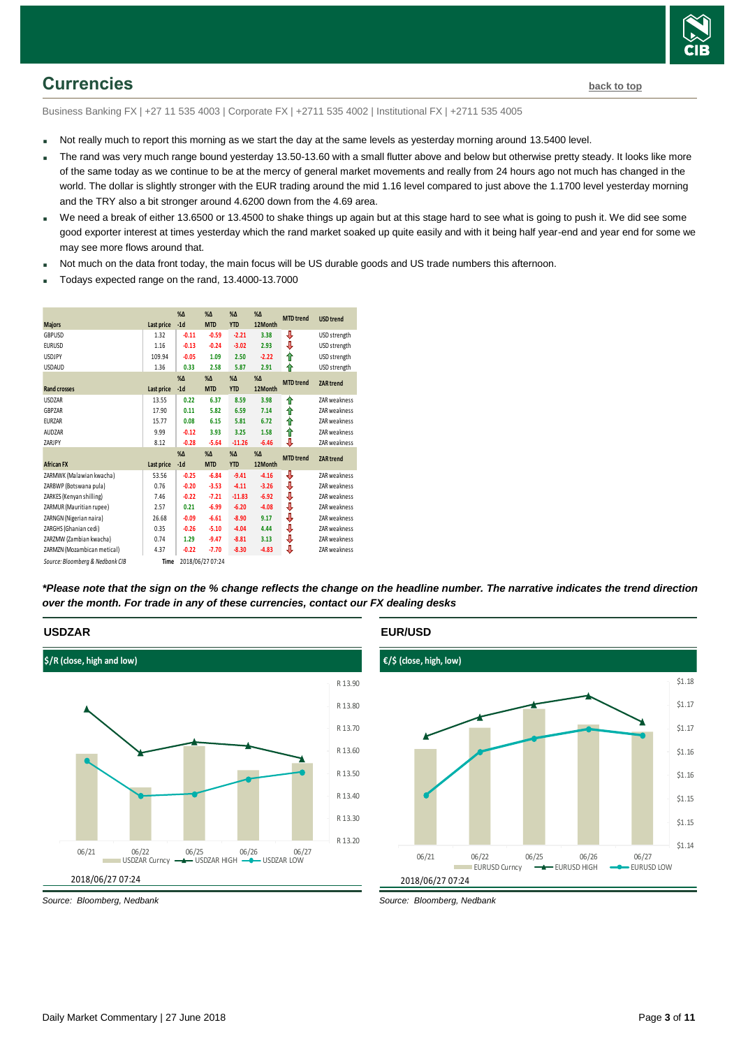

# <span id="page-2-0"></span>**Currencies [back to top](#page-0-0)**

Business Banking FX | +27 11 535 4003 | Corporate FX | +2711 535 4002 | Institutional FX | +2711 535 4005

- Not really much to report this morning as we start the day at the same levels as yesterday morning around 13.5400 level.
- The rand was very much range bound yesterday 13.50-13.60 with a small flutter above and below but otherwise pretty steady. It looks like more of the same today as we continue to be at the mercy of general market movements and really from 24 hours ago not much has changed in the world. The dollar is slightly stronger with the EUR trading around the mid 1.16 level compared to just above the 1.1700 level yesterday morning and the TRY also a bit stronger around 4.6200 down from the 4.69 area.
- We need a break of either 13.6500 or 13.4500 to shake things up again but at this stage hard to see what is going to push it. We did see some good exporter interest at times yesterday which the rand market soaked up quite easily and with it being half year-end and year end for some we may see more flows around that.
- Not much on the data front today, the main focus will be US durable goods and US trade numbers this afternoon.
- Todays expected range on the rand, 13.4000-13.7000

| <b>Majors</b>                   | Last price | $% \Delta$<br>$-1d$ | $%$ $\Delta$<br><b>MTD</b> | $%$ $\Delta$<br><b>YTD</b> | $% \Delta$<br>12Month | <b>MTD</b> trend | <b>USD trend</b> |
|---------------------------------|------------|---------------------|----------------------------|----------------------------|-----------------------|------------------|------------------|
|                                 |            |                     |                            |                            |                       |                  |                  |
| <b>GBPUSD</b>                   | 1.32       | $-0.11$             | $-0.59$                    | $-2.21$                    | 3.38                  | ⇩                | USD strength     |
| <b>EURUSD</b>                   | 1.16       | $-0.13$             | $-0.24$                    | $-3.02$                    | 2.93                  | ⇓                | USD strength     |
| <b>USDJPY</b>                   | 109.94     | $-0.05$             | 1.09                       | 2.50                       | $-2.22$               | ⇑                | USD strength     |
| <b>USDAUD</b>                   | 1.36       | 0.33                | 2.58                       | 5.87                       | 2.91                  | ⇑                | USD strength     |
|                                 |            | $% \Delta$          | $% \Delta$                 | $% \Delta$                 | $% \Delta$            | <b>MTD</b> trend | <b>ZAR</b> trend |
| <b>Rand crosses</b>             | Last price | $-1d$               | <b>MTD</b>                 | <b>YTD</b>                 | 12Month               |                  |                  |
| <b>USDZAR</b>                   | 13.55      | 0.22                | 6.37                       | 8.59                       | 3.98                  | ⇑                | ZAR weakness     |
| GBPZAR                          | 17.90      | 0.11                | 5.82                       | 6.59                       | 7.14                  | ⇑                | ZAR weakness     |
| <b>EURZAR</b>                   | 15.77      | 0.08                | 6.15                       | 5.81                       | 6.72                  | ⇑                | ZAR weakness     |
| <b>AUDZAR</b>                   | 9.99       | $-0.12$             | 3.93                       | 3.25                       | 1.58                  | ↟                | ZAR weakness     |
| ZARJPY                          | 8.12       | $-0.28$             | $-5.64$                    | $-11.26$                   | $-6.46$               | ⇩                | ZAR weakness     |
|                                 |            | $%$ $\Delta$        | $% \Delta$                 | $% \Delta$                 | $% \Delta$            | <b>MTD</b> trend |                  |
| <b>African FX</b>               | Last price | $-1d$               | <b>MTD</b>                 | <b>YTD</b>                 | 12Month               |                  | <b>ZAR</b> trend |
| ZARMWK (Malawian kwacha)        | 53.56      | $-0.25$             | $-6.84$                    | $-9.41$                    | $-4.16$               | ⇩                | ZAR weakness     |
| ZARBWP (Botswana pula)          | 0.76       | $-0.20$             | $-3.53$                    | $-4.11$                    | $-3.26$               | ♦                | ZAR weakness     |
| ZARKES (Kenyan shilling)        | 7.46       | $-0.22$             | $-7.21$                    | $-11.83$                   | $-6.92$               | ♦                | ZAR weakness     |
| ZARMUR (Mauritian rupee)        | 2.57       | 0.21                | $-6.99$                    | $-6.20$                    | $-4.08$               | ⇓                | ZAR weakness     |
| ZARNGN (Nigerian naira)         | 26.68      | $-0.09$             | $-6.61$                    | $-8.90$                    | 9.17                  | ⇩                | ZAR weakness     |
| ZARGHS (Ghanian cedi)           | 0.35       | $-0.26$             | $-5.10$                    | $-4.04$                    | 4.44                  | ⇩                | ZAR weakness     |
| ZARZMW (Zambian kwacha)         | 0.74       | 1.29                | $-9.47$                    | $-8.81$                    | 3.13                  | ⇩                | ZAR weakness     |
| ZARMZN (Mozambican metical)     | 4.37       | $-0.22$             | $-7.70$                    | $-8.30$                    | $-4.83$               | ⇩                | ZAR weakness     |
| Source: Bloomberg & Nedbank CIB | Time       |                     | 2018/06/27 07:24           |                            |                       |                  |                  |

*\*Please note that the sign on the % change reflects the change on the headline number. The narrative indicates the trend direction over the month. For trade in any of these currencies, contact our FX dealing desks*



## **EUR/USD**



*Source: Bloomberg, Nedbank*

**USDZAR**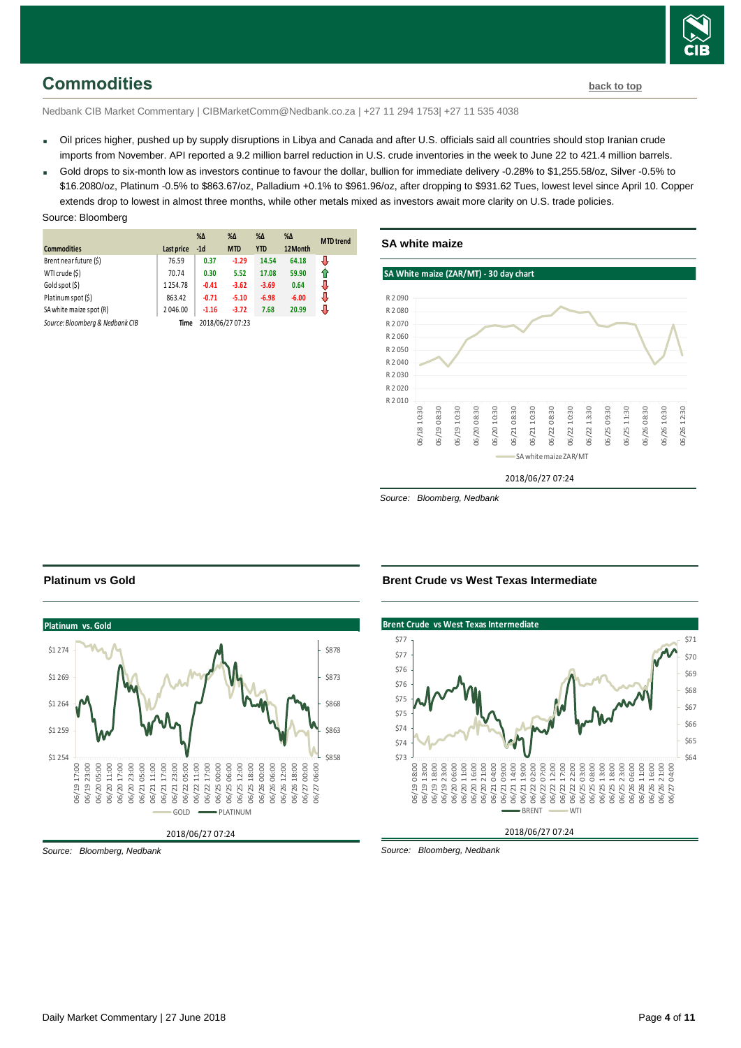

# <span id="page-3-0"></span>**Commodities [back to top](#page-0-0)**

Nedbank CIB Market Commentary | CIBMarketComm@Nedbank.co.za | +27 11 294 1753| +27 11 535 4038

- Oil prices higher, pushed up by supply disruptions in Libya and Canada and after U.S. officials said all countries should stop Iranian crude imports from November. API reported a 9.2 million barrel reduction in U.S. crude inventories in the week to June 22 to 421.4 million barrels.
- Gold drops to six-month low as investors continue to favour the dollar, bullion for immediate delivery -0.28% to \$1,255.58/oz, Silver -0.5% to \$16.2080/oz, Platinum -0.5% to \$863.67/oz, Palladium +0.1% to \$961.96/oz, after dropping to \$931.62 Tues, lowest level since April 10. Copper extends drop to lowest in almost three months, while other metals mixed as investors await more clarity on U.S. trade policies.

#### Source: Bloomberg

|                                 |            | $% \Delta$ | $% \Delta$       | %Δ         | $\% \Delta$ | <b>MTD</b> trend |
|---------------------------------|------------|------------|------------------|------------|-------------|------------------|
| <b>Commodities</b>              | Last price | $-1d$      | <b>MTD</b>       | <b>YTD</b> | 12Month     |                  |
| Brent near future (\$)          | 76.59      | 0.37       | $-1.29$          | 14.54      | 64.18       | J                |
| WTI crude (\$)                  | 70.74      | 0.30       | 5.52             | 17.08      | 59.90       | ⇑                |
| Gold spot (\$)                  | 1254.78    | $-0.41$    | $-3.62$          | $-3.69$    | 0.64        | J                |
| Platinum spot (\$)              | 863.42     | $-0.71$    | $-5.10$          | $-6.98$    | $-6.00$     | J                |
| SA white maize spot (R)         | 2046.00    | $-1.16$    | $-3.72$          | 7.68       | 20.99       |                  |
| Source: Bloomberg & Nedbank CIB | Time       |            | 2018/06/27 07:23 |            |             |                  |



*Source: Bloomberg, Nedbank*



#### **Brent Crude vs West Texas Intermediate**



*Source: Bloomberg, Nedbank*

**Platinum vs Gold**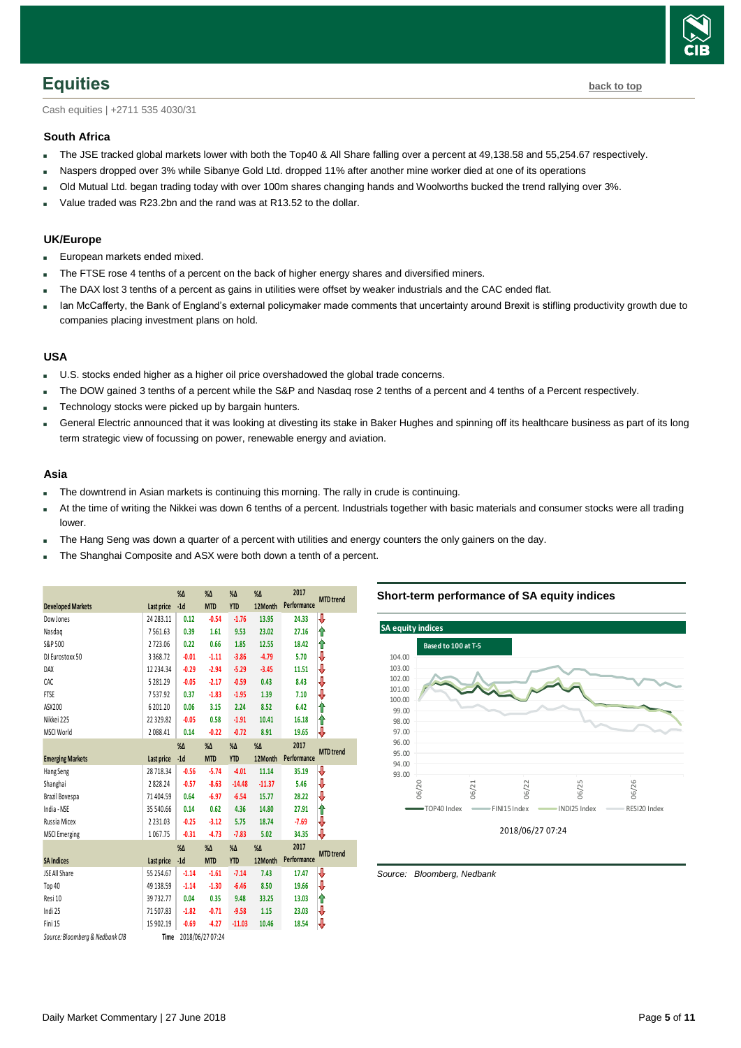

<span id="page-4-0"></span>Cash equities | +2711 535 4030/31

#### **South Africa**

- The JSE tracked global markets lower with both the Top40 & All Share falling over a percent at 49,138.58 and 55,254.67 respectively.
- Naspers dropped over 3% while Sibanye Gold Ltd. dropped 11% after another mine worker died at one of its operations
- Old Mutual Ltd. began trading today with over 100m shares changing hands and Woolworths bucked the trend rallying over 3%.
- Value traded was R23.2bn and the rand was at R13.52 to the dollar.

### **UK/Europe**

- European markets ended mixed.
- The FTSE rose 4 tenths of a percent on the back of higher energy shares and diversified miners.
- The DAX lost 3 tenths of a percent as gains in utilities were offset by weaker industrials and the CAC ended flat.
- Ian McCafferty, the Bank of England's external policymaker made comments that uncertainty around Brexit is stifling productivity growth due to companies placing investment plans on hold.

#### **USA**

- **U.S. stocks ended higher as a higher oil price overshadowed the global trade concerns.**
- The DOW gained 3 tenths of a percent while the S&P and Nasdaq rose 2 tenths of a percent and 4 tenths of a Percent respectively.
- Technology stocks were picked up by bargain hunters.
- General Electric announced that it was looking at divesting its stake in Baker Hughes and spinning off its healthcare business as part of its long term strategic view of focussing on power, renewable energy and aviation.

#### **Asia**

- The downtrend in Asian markets is continuing this morning. The rally in crude is continuing.
- At the time of writing the Nikkei was down 6 tenths of a percent. Industrials together with basic materials and consumer stocks were all trading lower.
- The Hang Seng was down a quarter of a percent with utilities and energy counters the only gainers on the day.
- The Shanghai Composite and ASX were both down a tenth of a percent.

<span id="page-4-1"></span>

|                                 |                |               |                  |               |               | 2017        |                  |
|---------------------------------|----------------|---------------|------------------|---------------|---------------|-------------|------------------|
|                                 |                | $\%$ $\Delta$ | $% \Delta$       | $% \Delta$    | $\%$ $\Delta$ |             | <b>MTD</b> trend |
| <b>Developed Markets</b>        | Last price     | $-1d$         | <b>MTD</b>       | <b>YTD</b>    | 12Month       | Performance |                  |
| Dow Jones                       | 24 28 3.11     | 0.12          | $-0.54$          | $-1.76$       | 13.95         | 24.33       | ⇩                |
| Nasdag                          | 7561.63        | 0.39          | 1.61             | 9.53          | 23.02         | 27.16       | ⇑                |
| S&P 500                         | 2723.06        | 0.22          | 0.66             | 1.85          | 12.55         | 18.42       | ⇑                |
| DJ Eurostoxx 50                 | 3368.72        | $-0.01$       | $-1.11$          | $-3.86$       | $-4.79$       | 5.70        | ⇩                |
| DAX                             | 12 2 3 4 . 3 4 | $-0.29$       | $-2.94$          | $-5.29$       | $-3.45$       | 11.51       | ⇩                |
| CAC                             | 5281.29        | $-0.05$       | $-2.17$          | $-0.59$       | 0.43          | 8.43        | ₽                |
| <b>FTSE</b>                     | 7537.92        | 0.37          | $-1.83$          | $-1.95$       | 1.39          | 7.10        | ⇩                |
| ASX200                          | 6 201.20       | 0.06          | 3.15             | 2.24          | 8.52          | 6.42        | ⋔                |
| Nikkei 225                      | 22329.82       | $-0.05$       | 0.58             | $-1.91$       | 10.41         | 16.18       | ⇑                |
| <b>MSCI World</b>               | 2088.41        | 0.14          | $-0.22$          | $-0.72$       | 8.91          | 19.65       | ₩                |
|                                 |                | $\%$ $\Delta$ | $% \Delta$       | $\%$ $\Delta$ | $\%$ $\Delta$ | 2017        | <b>MTD</b> trend |
| <b>Emerging Markets</b>         | Last price     | $-1d$         | <b>MTD</b>       | <b>YTD</b>    | 12Month       | Performance |                  |
| Hang Seng                       | 28 718.34      | $-0.56$       | $-5.74$          | $-4.01$       | 11.14         | 35.19       | ₩                |
| Shanghai                        | 2828.24        | $-0.57$       | $-8.63$          | $-14.48$      | $-11.37$      | 5.46        | ₩                |
| Brazil Bovespa                  | 71404.59       | 0.64          | $-6.97$          | $-6.54$       | 15.77         | 28.22       | ⇩                |
| India - NSE                     | 35 540.66      | 0.14          | 0.62             | 4.36          | 14.80         | 27.91       | ⋔                |
| Russia Micex                    | 2 2 3 1 . 0 3  | $-0.25$       | $-3.12$          | 5.75          | 18.74         | $-7.69$     | ⇩                |
| <b>MSCI</b> Emerging            | 1067.75        | $-0.31$       | $-4.73$          | $-7.83$       | 5.02          | 34.35       | ⇩                |
|                                 |                | $\%$ $\Delta$ | $\%$ $\Delta$    | $\%$ $\Delta$ | $% \Delta$    | 2017        |                  |
| <b>SA Indices</b>               | Last price     | $-1d$         | <b>MTD</b>       | <b>YTD</b>    | 12Month       | Performance | <b>MTD</b> trend |
| JSE All Share                   | 55 254.67      | $-1.14$       | $-1.61$          | $-7.14$       | 7.43          | 17.47       | ⇩                |
| Top 40                          | 49 138.59      | $-1.14$       | $-1.30$          | $-6.46$       | 8.50          | 19.66       | ⇩                |
| Resi 10                         | 39732.77       | 0.04          | 0.35             | 9.48          | 33.25         | 13.03       | ⇑                |
| Indi 25                         | 71507.83       | $-1.82$       | $-0.71$          | $-9.58$       | 1.15          | 23.03       | ₩                |
| Fini 15                         | 15 902.19      | $-0.69$       | $-4.27$          | $-11.03$      | 10.46         | 18.54       | ₩                |
| Source: Bloomberg & Nedbank CIB | Time           |               | 2018/06/27 07:24 |               |               |             |                  |

**Short-term performance of SA equity indices**

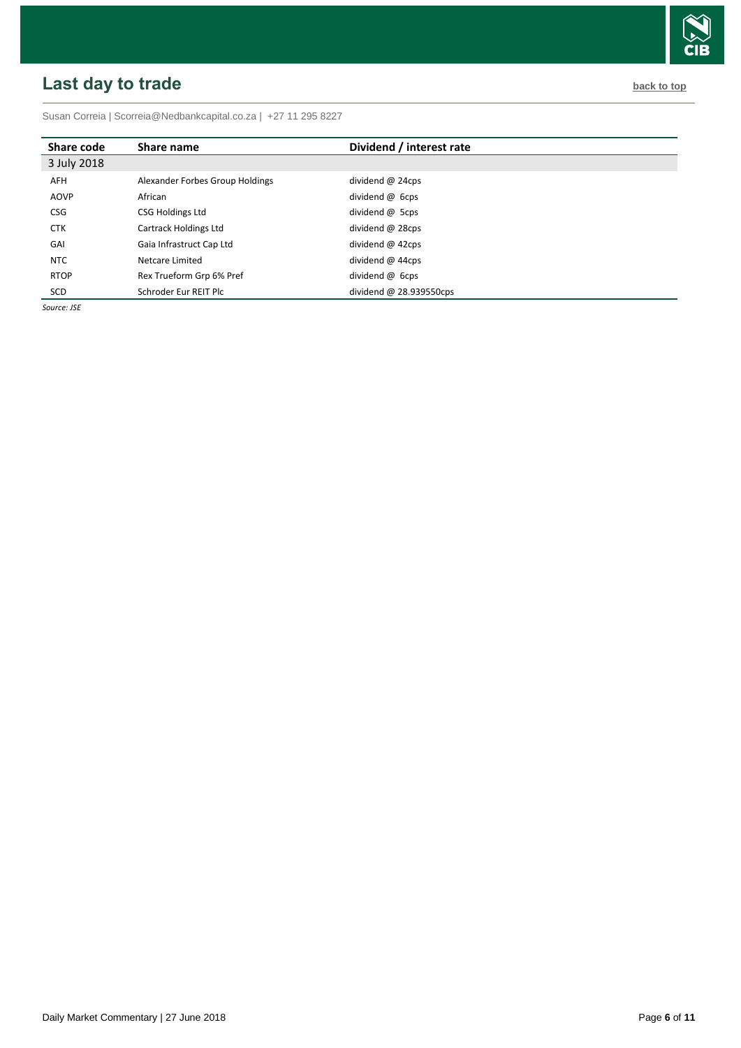# <span id="page-5-0"></span>**Last day to trade back to the contract of the contract of the contract of the contract of the contract of the contract of the contract of the contract of the contract of the contract of the contract of the contract of t**

Susan Correia [| Scorreia@Nedbankcapital.co.za](mailto:Scorreia@Nedbankcapital.co.za) | +27 11 295 8227

| Share code  | Share name                      | Dividend / interest rate  |
|-------------|---------------------------------|---------------------------|
| 3 July 2018 |                                 |                           |
| AFH         | Alexander Forbes Group Holdings | dividend $@$ 24cps        |
| AOVP        | African                         | dividend @ 6cps           |
| <b>CSG</b>  | CSG Holdings Ltd                | dividend @ 5cps           |
| <b>CTK</b>  | Cartrack Holdings Ltd           | dividend @ 28cps          |
| GAI         | Gaia Infrastruct Cap Ltd        | dividend $@$ 42cps        |
| <b>NTC</b>  | Netcare Limited                 | dividend $@$ 44cps        |
| <b>RTOP</b> | Rex Trueform Grp 6% Pref        | dividend $\omega$ 6cps    |
| SCD         | Schroder Eur REIT Plc           | dividend $@$ 28.939550cps |

*Source: JSE*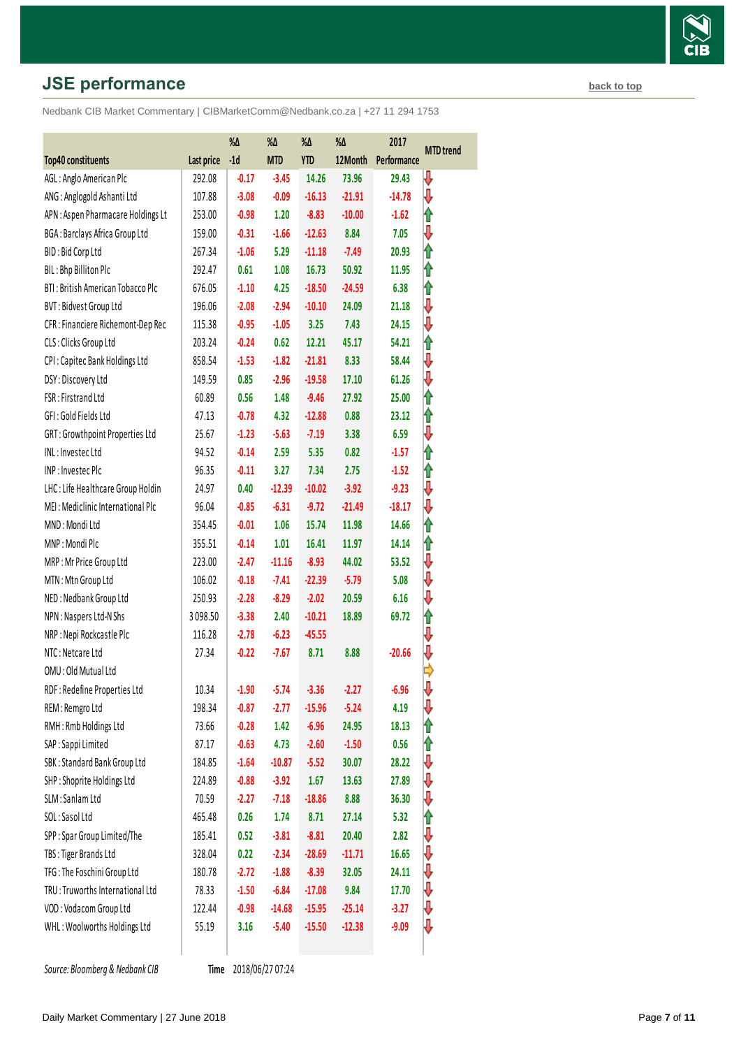# **JSE performance [back to top](#page-0-0) back to top**

Nedbank CIB Market Commentary | CIBMarketComm@Nedbank.co.za | +27 11 294 1753

|                                    |            | %Δ      | %Δ         | %Δ         | %Δ       | 2017        | <b>MTD</b> trend |
|------------------------------------|------------|---------|------------|------------|----------|-------------|------------------|
| Top40 constituents                 | Last price | $-1d$   | <b>MTD</b> | <b>YTD</b> | 12Month  | Performance |                  |
| AGL: Anglo American Plc            | 292.08     | $-0.17$ | $-3.45$    | 14.26      | 73.96    | 29.43       | ₩                |
| ANG: Anglogold Ashanti Ltd         | 107.88     | $-3.08$ | $-0.09$    | $-16.13$   | $-21.91$ | $-14.78$    | ⇩                |
| APN : Aspen Pharmacare Holdings Lt | 253.00     | $-0.98$ | 1.20       | $-8.83$    | $-10.00$ | $-1.62$     | ⇑                |
| BGA: Barclays Africa Group Ltd     | 159.00     | $-0.31$ | $-1.66$    | $-12.63$   | 8.84     | 7.05        | ⇩                |
| BID: Bid Corp Ltd                  | 267.34     | $-1.06$ | 5.29       | $-11.18$   | $-7.49$  | 20.93       | ⇑                |
| BIL: Bhp Billiton Plc              | 292.47     | 0.61    | 1.08       | 16.73      | 50.92    | 11.95       | ĥ                |
| BTI: British American Tobacco Plc  | 676.05     | $-1.10$ | 4.25       | $-18.50$   | $-24.59$ | 6.38        | ⇑                |
| BVT: Bidvest Group Ltd             | 196.06     | $-2.08$ | $-2.94$    | $-10.10$   | 24.09    | 21.18       | ⇩                |
| CFR : Financiere Richemont-Dep Rec | 115.38     | $-0.95$ | $-1.05$    | 3.25       | 7.43     | 24.15       | ⇓                |
| CLS: Clicks Group Ltd              | 203.24     | $-0.24$ | 0.62       | 12.21      | 45.17    | 54.21       | ⇑                |
| CPI: Capitec Bank Holdings Ltd     | 858.54     | $-1.53$ | $-1.82$    | $-21.81$   | 8.33     | 58.44       | ⇩                |
| DSY: Discovery Ltd                 | 149.59     | 0.85    | $-2.96$    | $-19.58$   | 17.10    | 61.26       | ⇩                |
| FSR: Firstrand Ltd                 | 60.89      | 0.56    | 1.48       | $-9.46$    | 27.92    | 25.00       | ⇑                |
| GFI: Gold Fields Ltd               | 47.13      | $-0.78$ | 4.32       | $-12.88$   | 0.88     | 23.12       | ⇑                |
| GRT: Growthpoint Properties Ltd    | 25.67      | $-1.23$ | $-5.63$    | $-7.19$    | 3.38     | 6.59        | ⇩                |
| INL: Investec Ltd                  | 94.52      | $-0.14$ | 2.59       | 5.35       | 0.82     | $-1.57$     | ⇑                |
| INP: Investec Plc                  | 96.35      | $-0.11$ | 3.27       | 7.34       | 2.75     | $-1.52$     | ⇑                |
| LHC: Life Healthcare Group Holdin  | 24.97      | 0.40    | $-12.39$   | $-10.02$   | $-3.92$  | $-9.23$     | ⇩                |
| MEI: Mediclinic International Plc  | 96.04      | $-0.85$ | $-6.31$    | $-9.72$    | $-21.49$ | $-18.17$    | Ų                |
| MND: Mondi Ltd                     | 354.45     | $-0.01$ | 1.06       | 15.74      | 11.98    | 14.66       | ⇑                |
| MNP: Mondi Plc                     | 355.51     | $-0.14$ | 1.01       | 16.41      | 11.97    | 14.14       | ⇑                |
| MRP: Mr Price Group Ltd            | 223.00     | $-2.47$ | $-11.16$   | $-8.93$    | 44.02    | 53.52       | ⇩                |
| MTN: Mtn Group Ltd                 | 106.02     | $-0.18$ | $-7.41$    | $-22.39$   | $-5.79$  | 5.08        | ⇩                |
| NED: Nedbank Group Ltd             | 250.93     | $-2.28$ | $-8.29$    | $-2.02$    | 20.59    | 6.16        | ⇩                |
| NPN: Naspers Ltd-N Shs             | 3098.50    | $-3.38$ | 2.40       | $-10.21$   | 18.89    | 69.72       | ⇑                |
| NRP : Nepi Rockcastle Plc          | 116.28     | $-2.78$ | $-6.23$    | $-45.55$   |          |             | ⇩                |
| NTC: Netcare Ltd                   | 27.34      | $-0.22$ | $-7.67$    | 8.71       | 8.88     | $-20.66$    | ⇓                |
| OMU: Old Mutual Ltd                |            |         |            |            |          |             |                  |
| RDF: Redefine Properties Ltd       | 10.34      | $-1.90$ | $-5.74$    | $-3.36$    | $-2.27$  | -6.96       | ₩                |
| REM: Remgro Ltd                    | 198.34     | $-0.87$ | $-2.77$    | $-15.96$   | $-5.24$  | 4.19        | ⇩                |
| RMH: Rmb Holdings Ltd              | 73.66      | $-0.28$ | 1.42       | $-6.96$    | 24.95    | 18.13       | ⇑                |
| SAP : Sappi Limited                | 87.17      | $-0.63$ | 4.73       | $-2.60$    | $-1.50$  | 0.56        | ⇑                |
| SBK: Standard Bank Group Ltd       | 184.85     | $-1.64$ | $-10.87$   | $-5.52$    | 30.07    | 28.22       | ⇩                |
| SHP: Shoprite Holdings Ltd         | 224.89     | $-0.88$ | $-3.92$    | 1.67       | 13.63    | 27.89       | ⇩                |
| SLM: Sanlam Ltd                    | 70.59      | $-2.27$ | $-7.18$    | $-18.86$   | 8.88     | 36.30       | ⇩                |
| SOL: Sasol Ltd                     | 465.48     | 0.26    | 1.74       | 8.71       | 27.14    | 5.32        | ⇑                |
| SPP: Spar Group Limited/The        | 185.41     | 0.52    | $-3.81$    | $-8.81$    | 20.40    | 2.82        | ₩                |
| TBS: Tiger Brands Ltd              | 328.04     | 0.22    | $-2.34$    | $-28.69$   | $-11.71$ | 16.65       | ⇩                |
| TFG: The Foschini Group Ltd        | 180.78     | $-2.72$ | $-1.88$    | $-8.39$    | 32.05    | 24.11       | ⇩                |
| TRU: Truworths International Ltd   | 78.33      | $-1.50$ | $-6.84$    | $-17.08$   | 9.84     | 17.70       | ⇓                |
| VOD: Vodacom Group Ltd             | 122.44     | $-0.98$ | $-14.68$   | $-15.95$   | $-25.14$ | $-3.27$     | ⇩                |
| WHL: Woolworths Holdings Ltd       | 55.19      | 3.16    | $-5.40$    | $-15.50$   | $-12.38$ | $-9.09$     | ₩                |
|                                    |            |         |            |            |          |             |                  |

**Source: Bloomberg & Nedbank CIB** 

Time 2018/06/27 07:24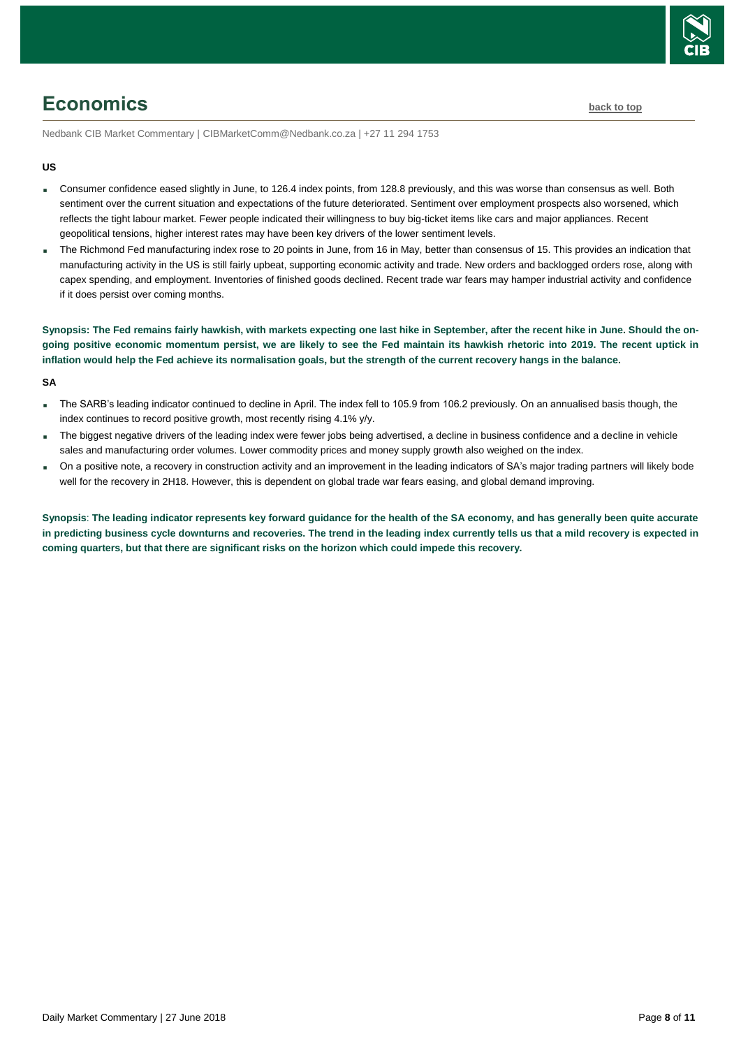

# <span id="page-7-0"></span>**Economics [back to top](#page-0-0)**

Nedbank CIB Market Commentary | CIBMarketComm@Nedbank.co.za | +27 11 294 1753

#### **US**

- Consumer confidence eased slightly in June, to 126.4 index points, from 128.8 previously, and this was worse than consensus as well. Both sentiment over the current situation and expectations of the future deteriorated. Sentiment over employment prospects also worsened, which reflects the tight labour market. Fewer people indicated their willingness to buy big-ticket items like cars and major appliances. Recent geopolitical tensions, higher interest rates may have been key drivers of the lower sentiment levels.
- The Richmond Fed manufacturing index rose to 20 points in June, from 16 in May, better than consensus of 15. This provides an indication that manufacturing activity in the US is still fairly upbeat, supporting economic activity and trade. New orders and backlogged orders rose, along with capex spending, and employment. Inventories of finished goods declined. Recent trade war fears may hamper industrial activity and confidence if it does persist over coming months.

**Synopsis: The Fed remains fairly hawkish, with markets expecting one last hike in September, after the recent hike in June. Should the ongoing positive economic momentum persist, we are likely to see the Fed maintain its hawkish rhetoric into 2019. The recent uptick in inflation would help the Fed achieve its normalisation goals, but the strength of the current recovery hangs in the balance.**

#### **SA**

- The SARB's leading indicator continued to decline in April. The index fell to 105.9 from 106.2 previously. On an annualised basis though, the index continues to record positive growth, most recently rising 4.1% y/y.
- The biggest negative drivers of the leading index were fewer jobs being advertised, a decline in business confidence and a decline in vehicle sales and manufacturing order volumes. Lower commodity prices and money supply growth also weighed on the index.
- On a positive note, a recovery in construction activity and an improvement in the leading indicators of SA's major trading partners will likely bode well for the recovery in 2H18. However, this is dependent on global trade war fears easing, and global demand improving.

**Synopsis**: **The leading indicator represents key forward guidance for the health of the SA economy, and has generally been quite accurate in predicting business cycle downturns and recoveries. The trend in the leading index currently tells us that a mild recovery is expected in coming quarters, but that there are significant risks on the horizon which could impede this recovery.**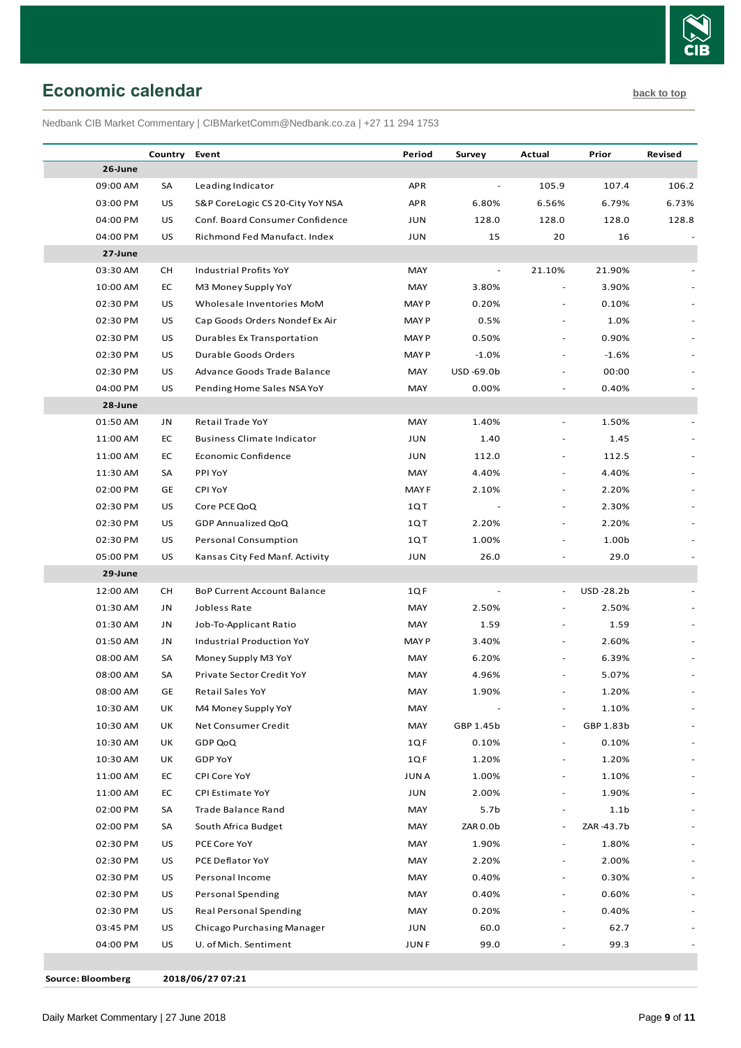

# <span id="page-8-0"></span>**Economic calendar [back to top](#page-0-0)**

Nedbank CIB Market Commentary | CIBMarketComm@Nedbank.co.za | +27 11 294 1753

|          | Country   | Event                              | Period      | Survey                   | Actual                   | Prior            | Revised |
|----------|-----------|------------------------------------|-------------|--------------------------|--------------------------|------------------|---------|
| 26-June  |           |                                    |             |                          |                          |                  |         |
| 09:00 AM | SA        | Leading Indicator                  | <b>APR</b>  |                          | 105.9                    | 107.4            | 106.2   |
| 03:00 PM | US        | S&P CoreLogic CS 20-City YoY NSA   | <b>APR</b>  | 6.80%                    | 6.56%                    | 6.79%            | 6.73%   |
| 04:00 PM | US        | Conf. Board Consumer Confidence    | <b>JUN</b>  | 128.0                    | 128.0                    | 128.0            | 128.8   |
| 04:00 PM | US        | Richmond Fed Manufact. Index       | <b>JUN</b>  | 15                       | 20                       | 16               |         |
| 27-June  |           |                                    |             |                          |                          |                  |         |
| 03:30 AM | СH        | Industrial Profits YoY             | MAY         | $\overline{\phantom{a}}$ | 21.10%                   | 21.90%           |         |
| 10:00 AM | ЕC        | M3 Money Supply YoY                | MAY         | 3.80%                    |                          | 3.90%            |         |
| 02:30 PM | US        | Wholesale Inventories MoM          | <b>MAYP</b> | 0.20%                    |                          | 0.10%            |         |
| 02:30 PM | US        | Cap Goods Orders Nondef Ex Air     | <b>MAYP</b> | 0.5%                     | $\overline{\phantom{a}}$ | 1.0%             |         |
| 02:30 PM | US        | Durables Ex Transportation         | <b>MAYP</b> | 0.50%                    |                          | 0.90%            |         |
| 02:30 PM | US        | Durable Goods Orders               | <b>MAYP</b> | $-1.0%$                  | $\sim$                   | $-1.6%$          |         |
| 02:30 PM | US        | Advance Goods Trade Balance        | MAY         | USD-69.0b                |                          | 00:00            |         |
| 04:00 PM | US        | Pending Home Sales NSA YoY         | MAY         | 0.00%                    |                          | 0.40%            |         |
| 28-June  |           |                                    |             |                          |                          |                  |         |
| 01:50 AM | JN        | Retail Trade YoY                   | MAY         | 1.40%                    |                          | 1.50%            |         |
| 11:00 AM | EC        | <b>Business Climate Indicator</b>  | JUN         | 1.40                     |                          | 1.45             |         |
| 11:00 AM | EC        | Economic Confidence                | JUN         | 112.0                    | $\overline{\phantom{a}}$ | 112.5            |         |
| 11:30 AM | SA        | PPI YoY                            | MAY         | 4.40%                    |                          | 4.40%            |         |
| 02:00 PM | GE        | CPI YoY                            | MAY F       | 2.10%                    |                          | 2.20%            |         |
| 02:30 PM | US        | Core PCE QoQ                       | 1QT         |                          |                          | 2.30%            |         |
| 02:30 PM | US        | GDP Annualized QoQ                 | 1QT         | 2.20%                    |                          | 2.20%            |         |
| 02:30 PM | US        | <b>Personal Consumption</b>        | 1QT         | 1.00%                    |                          | 1.00b            |         |
| 05:00 PM | US        | Kansas City Fed Manf. Activity     | JUN         | 26.0                     |                          | 29.0             |         |
| 29-June  |           |                                    |             |                          |                          |                  |         |
| 12:00 AM | СH        | <b>BoP Current Account Balance</b> | 1QF         |                          | $\overline{\phantom{a}}$ | USD-28.2b        |         |
| 01:30 AM | JN        | Jobless Rate                       | MAY         | 2.50%                    |                          | 2.50%            |         |
| 01:30 AM | JN        | Job-To-Applicant Ratio             | MAY         | 1.59                     |                          | 1.59             |         |
| 01:50 AM | JN        | Industrial Production YoY          | <b>MAYP</b> | 3.40%                    |                          | 2.60%            |         |
| 08:00 AM | SA        | Money Supply M3 YoY                | MAY         | 6.20%                    |                          | 6.39%            |         |
| 08:00 AM | SA        | Private Sector Credit YoY          | MAY         | 4.96%                    |                          | 5.07%            |         |
| 08:00 AM | <b>GE</b> | <b>Retail Sales YoY</b>            | MAY         | 1.90%                    |                          | 1.20%            |         |
| 10:30 AM | UK        | M4 Money Supply YoY                | MAY         |                          | $\overline{\phantom{a}}$ | 1.10%            |         |
| 10:30 AM | UK        | Net Consumer Credit                | MAY         | GBP 1.45b                |                          | GBP 1.83b        |         |
| 10:30 AM | UK        | GDP QoQ                            | 1QF         | 0.10%                    | $\overline{\phantom{a}}$ | 0.10%            |         |
| 10:30 AM | UK        | <b>GDP YoY</b>                     | 1QF         | 1.20%                    |                          | 1.20%            |         |
| 11:00 AM | EC        | CPI Core YoY                       | <b>JUNA</b> | 1.00%                    | $\overline{\phantom{a}}$ | 1.10%            |         |
| 11:00 AM | EC        | CPI Estimate YoY                   | JUN         | 2.00%                    | $\overline{\phantom{a}}$ | 1.90%            |         |
| 02:00 PM | SA        | Trade Balance Rand                 | MAY         | 5.7b                     | $\overline{\phantom{a}}$ | 1.1 <sub>b</sub> |         |
| 02:00 PM | SA        | South Africa Budget                | MAY         | ZAR 0.0b                 | $\overline{\phantom{a}}$ | ZAR-43.7b        |         |
| 02:30 PM | US        | PCE Core YoY                       | MAY         | 1.90%                    | $\overline{\phantom{a}}$ | 1.80%            |         |
| 02:30 PM | US        | PCE Deflator YoY                   | MAY         | 2.20%                    | $\overline{\phantom{a}}$ | 2.00%            |         |
| 02:30 PM | US        | Personal Income                    | MAY         | 0.40%                    | $\overline{\phantom{a}}$ | 0.30%            |         |
| 02:30 PM | US        | <b>Personal Spending</b>           | MAY         | 0.40%                    |                          | 0.60%            |         |
| 02:30 PM | US        | Real Personal Spending             | MAY         | 0.20%                    |                          | 0.40%            |         |
| 03:45 PM | US        | Chicago Purchasing Manager         | JUN         | 60.0                     |                          | 62.7             |         |
| 04:00 PM | US        | U. of Mich. Sentiment              | <b>JUNF</b> | 99.0                     |                          | 99.3             |         |

**Source: Bloomberg 2018/06/27 07:21**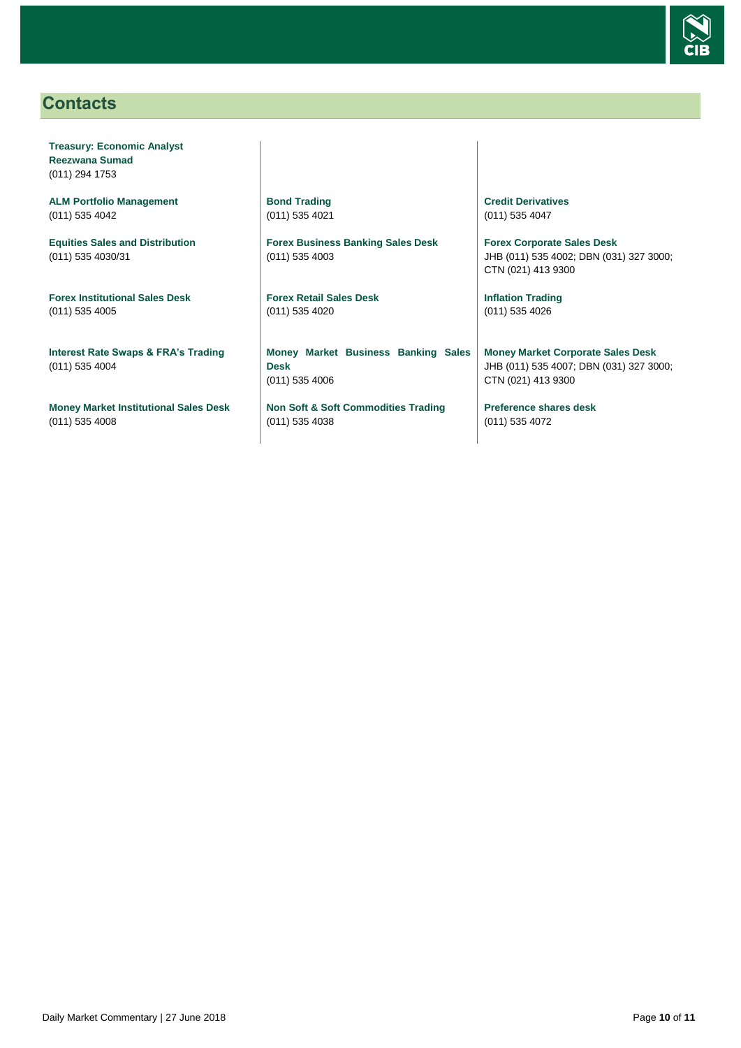

# <span id="page-9-0"></span>**Contacts**

**Treasury: Economic Analyst Reezwana Sumad** (011) 294 1753

**ALM Portfolio Management** (011) 535 4042

**Equities Sales and Distribution** (011) 535 4030/31

**Forex Institutional Sales Desk** (011) 535 4005

**Interest Rate Swaps & FRA's Trading** (011) 535 4004

**Money Market Institutional Sales Desk** (011) 535 4008

**Bond Trading** (011) 535 4021

**Forex Business Banking Sales Desk** (011) 535 4003

**Forex Retail Sales Desk** (011) 535 4020

**Money Market Business Banking Sales Desk** (011) 535 4006

**Non Soft & Soft Commodities Trading** (011) 535 4038

**Credit Derivatives**  (011) 535 4047

**Forex Corporate Sales Desk** JHB (011) 535 4002; DBN (031) 327 3000; CTN (021) 413 9300

**Inflation Trading** (011) 535 4026

**Money Market Corporate Sales Desk** JHB (011) 535 4007; DBN (031) 327 3000; CTN (021) 413 9300

**Preference shares desk** (011) 535 4072